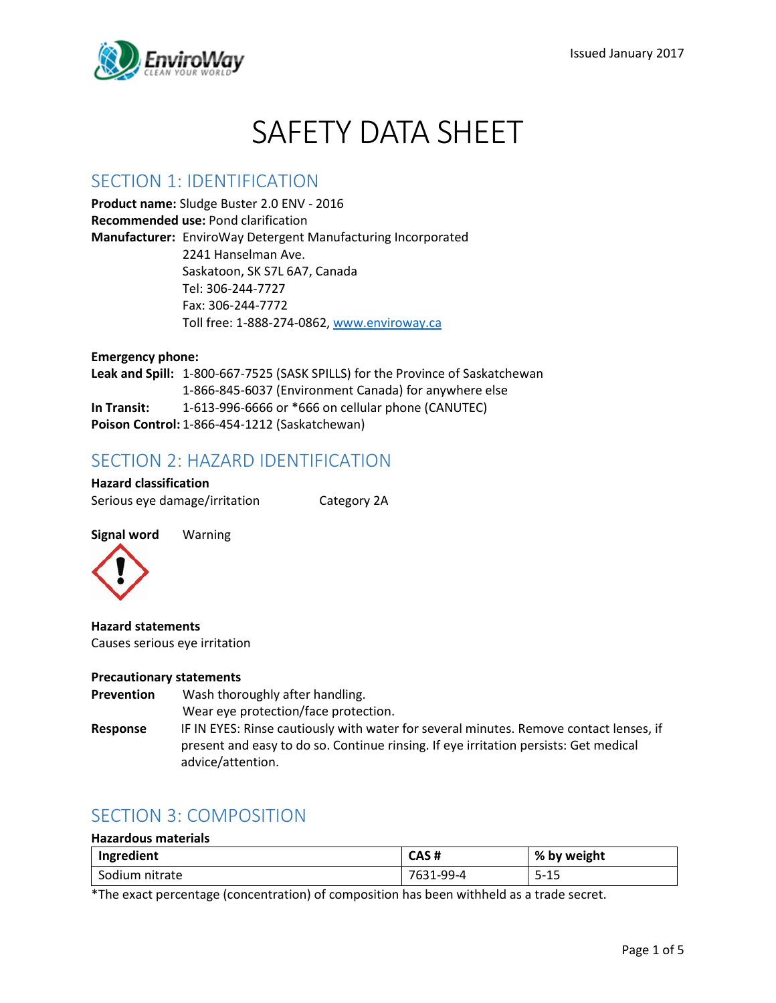

# SAFETY DATA SHEET

#### SECTION 1: IDENTIFICATION

**Product name:** Sludge Buster 2.0 ENV - 2016 **Recommended use:** Pond clarification **Manufacturer:** EnviroWay Detergent Manufacturing Incorporated 2241 Hanselman Ave. Saskatoon, SK S7L 6A7, Canada Tel: 306-244-7727 Fax: 306-244-7772 Toll free: 1-888-274-0862, [www.enviroway.ca](http://www.enviroway.ca/)

**Emergency phone: Leak and Spill:** 1-800-667-7525 (SASK SPILLS) for the Province of Saskatchewan 1-866-845-6037 (Environment Canada) for anywhere else **In Transit:** 1-613-996-6666 or \*666 on cellular phone (CANUTEC) **Poison Control:** 1-866-454-1212 (Saskatchewan)

## SECTION 2: HAZARD IDENTIFICATION

**Hazard classification** Serious eye damage/irritation Category 2A



**Hazard statements** Causes serious eye irritation

#### **Precautionary statements**

**Prevention** Wash thoroughly after handling. Wear eye protection/face protection. **Response** IF IN EYES: Rinse cautiously with water for several minutes. Remove contact lenses, if present and easy to do so. Continue rinsing. If eye irritation persists: Get medical advice/attention.

## SECTION 3: COMPOSITION

#### **Hazardous materials**

| Ingredient     | CAS#           | by weight<br>%                      |
|----------------|----------------|-------------------------------------|
| Sodium nitrate | LQQ_/I<br>7631 | $\sim$ $\sim$<br>-<br>5-<br>--<br>- |

\*The exact percentage (concentration) of composition has been withheld as a trade secret.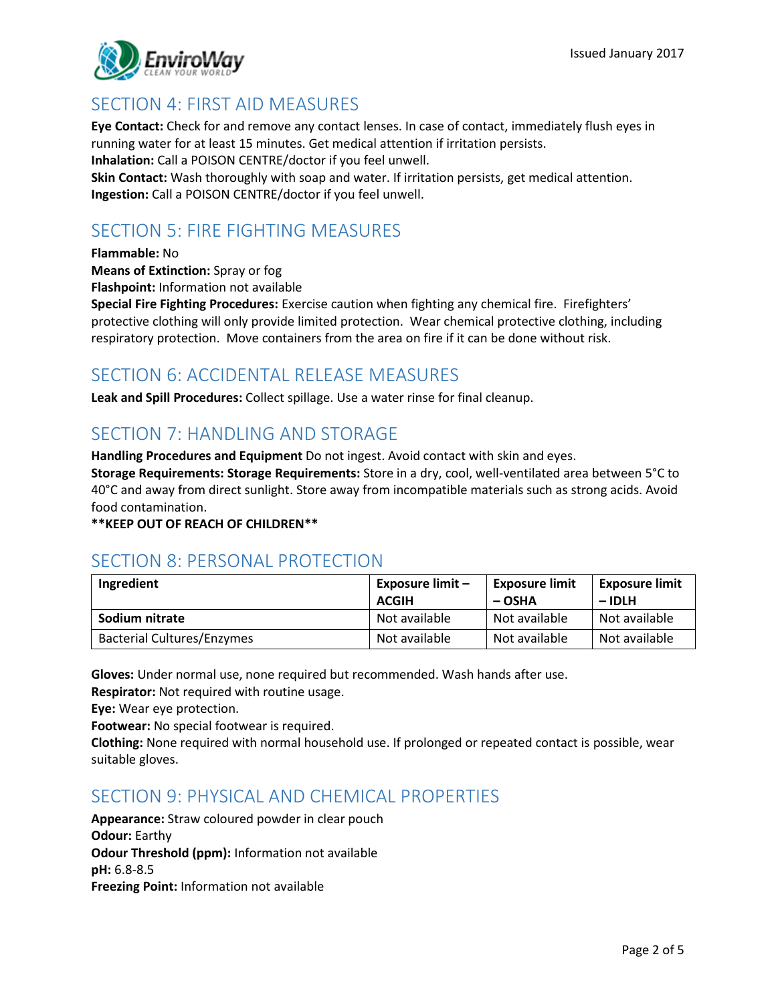

## SECTION 4: FIRST AID MEASURES

**Eye Contact:** Check for and remove any contact lenses. In case of contact, immediately flush eyes in running water for at least 15 minutes. Get medical attention if irritation persists. **Inhalation:** Call a POISON CENTRE/doctor if you feel unwell.

**Skin Contact:** Wash thoroughly with soap and water. If irritation persists, get medical attention. **Ingestion:** Call a POISON CENTRE/doctor if you feel unwell.

# SECTION 5: FIRE FIGHTING MEASURES

#### **Flammable:** No

**Means of Extinction:** Spray or fog

**Flashpoint:** Information not available

**Special Fire Fighting Procedures:** Exercise caution when fighting any chemical fire. Firefighters' protective clothing will only provide limited protection. Wear chemical protective clothing, including respiratory protection. Move containers from the area on fire if it can be done without risk.

#### SECTION 6: ACCIDENTAL RELEASE MEASURES

**Leak and Spill Procedures:** Collect spillage. Use a water rinse for final cleanup.

## SECTION 7: HANDLING AND STORAGE

**Handling Procedures and Equipment** Do not ingest. Avoid contact with skin and eyes.

**Storage Requirements: Storage Requirements:** Store in a dry, cool, well-ventilated area between 5°C to 40°C and away from direct sunlight. Store away from incompatible materials such as strong acids. Avoid food contamination.

**\*\*KEEP OUT OF REACH OF CHILDREN\*\***

#### SECTION 8: PERSONAL PROTECTION

| Ingredient                        | Exposure limit -<br><b>ACGIH</b> | <b>Exposure limit</b><br>– OSHA | <b>Exposure limit</b><br>$-$ IDLH |
|-----------------------------------|----------------------------------|---------------------------------|-----------------------------------|
| Sodium nitrate                    | Not available                    | Not available                   | Not available                     |
| <b>Bacterial Cultures/Enzymes</b> | Not available                    | Not available                   | Not available                     |

**Gloves:** Under normal use, none required but recommended. Wash hands after use.

**Respirator:** Not required with routine usage.

**Eye:** Wear eye protection.

**Footwear:** No special footwear is required.

**Clothing:** None required with normal household use. If prolonged or repeated contact is possible, wear suitable gloves.

#### SECTION 9: PHYSICAL AND CHEMICAL PROPERTIES

**Appearance:** Straw coloured powder in clear pouch **Odour:** Earthy **Odour Threshold (ppm):** Information not available **pH:** 6.8-8.5 **Freezing Point:** Information not available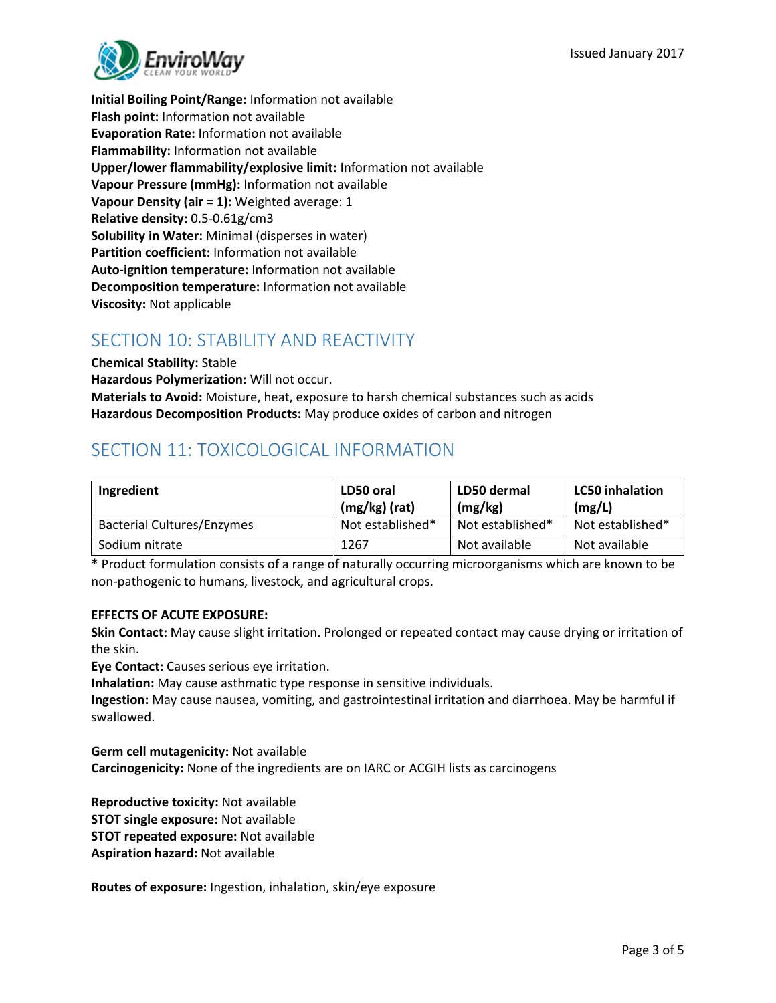

**Initial Boiling Point/Range:** Information not available **Flash point:** Information not available **Evaporation Rate:** Information not available **Flammability:** Information not available **Upper/lower flammability/explosive limit:** Information not available **Vapour Pressure (mmHg):** Information not available **Vapour Density (air = 1):** Weighted average: 1 **Relative density:** 0.5-0.61g/cm3 **Solubility in Water:** Minimal (disperses in water) **Partition coefficient:** Information not available **Auto-ignition temperature:** Information not available **Decomposition temperature:** Information not available **Viscosity:** Not applicable

# SECTION 10: STABILITY AND REACTIVITY

**Chemical Stability:** Stable **Hazardous Polymerization:** Will not occur. **Materials to Avoid:** Moisture, heat, exposure to harsh chemical substances such as acids **Hazardous Decomposition Products:** May produce oxides of carbon and nitrogen

# SECTION 11: TOXICOLOGICAL INFORMATION

| Ingredient                        | LD50 oral<br>$(mg/kg)$ (rat) | LD50 dermal<br>(mg/kg) | <b>LC50 inhalation</b><br>(mg/L) |
|-----------------------------------|------------------------------|------------------------|----------------------------------|
| <b>Bacterial Cultures/Enzymes</b> | Not established*             | Not established*       | Not established*                 |
| Sodium nitrate                    | 1267                         | Not available          | Not available                    |

**\*** Product formulation consists of a range of naturally occurring microorganisms which are known to be non-pathogenic to humans, livestock, and agricultural crops.

#### **EFFECTS OF ACUTE EXPOSURE:**

**Skin Contact:** May cause slight irritation. Prolonged or repeated contact may cause drying or irritation of the skin.

**Eye Contact:** Causes serious eye irritation.

**Inhalation:** May cause asthmatic type response in sensitive individuals.

**Ingestion:** May cause nausea, vomiting, and gastrointestinal irritation and diarrhoea. May be harmful if swallowed.

**Germ cell mutagenicity:** Not available **Carcinogenicity:** None of the ingredients are on IARC or ACGIH lists as carcinogens

**Reproductive toxicity:** Not available **STOT single exposure:** Not available **STOT repeated exposure:** Not available **Aspiration hazard:** Not available

**Routes of exposure:** Ingestion, inhalation, skin/eye exposure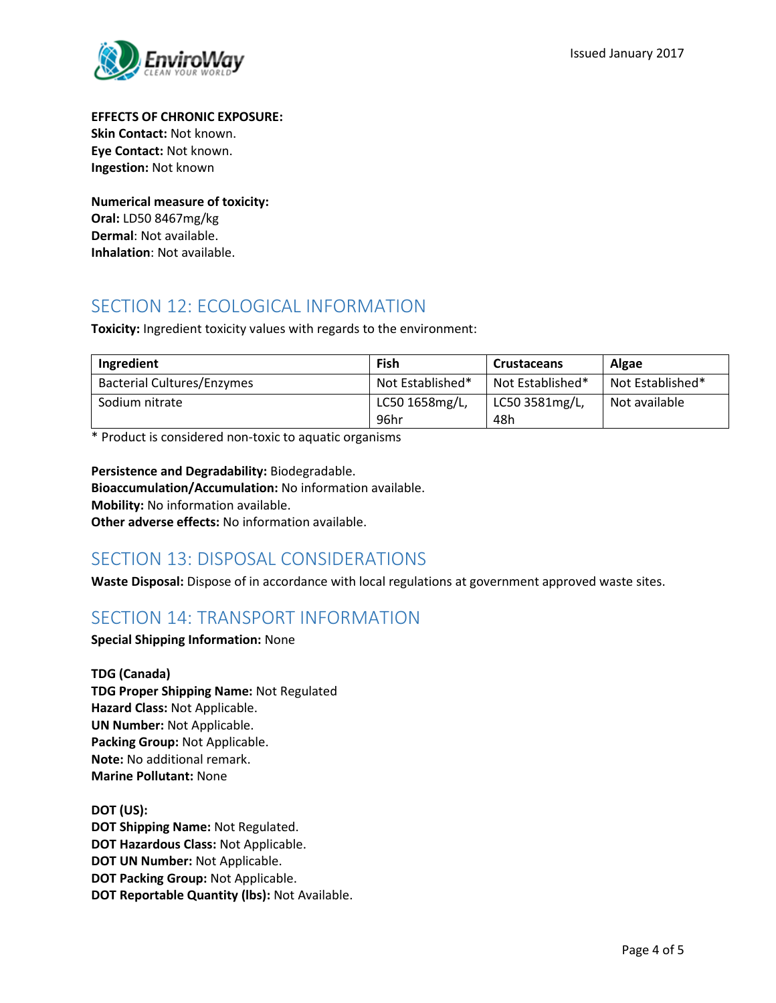

**EFFECTS OF CHRONIC EXPOSURE: Skin Contact:** Not known.

**Eye Contact:** Not known. **Ingestion:** Not known

**Numerical measure of toxicity: Oral:** LD50 8467mg/kg **Dermal**: Not available. **Inhalation**: Not available.

## SECTION 12: ECOLOGICAL INFORMATION

**Toxicity:** Ingredient toxicity values with regards to the environment:

| Ingredient                        | Fish                   | <b>Crustaceans</b>    | Algae            |
|-----------------------------------|------------------------|-----------------------|------------------|
| <b>Bacterial Cultures/Enzymes</b> | Not Established*       | Not Established*      | Not Established* |
| Sodium nitrate                    | LC50 1658mg/L,<br>96hr | LC50 3581mg/L,<br>48h | Not available    |

\* Product is considered non-toxic to aquatic organisms

**Persistence and Degradability:** Biodegradable. **Bioaccumulation/Accumulation:** No information available. **Mobility:** No information available. **Other adverse effects:** No information available.

# SECTION 13: DISPOSAL CONSIDERATIONS

**Waste Disposal:** Dispose of in accordance with local regulations at government approved waste sites.

## SECTION 14: TRANSPORT INFORMATION

**Special Shipping Information:** None

**TDG (Canada) TDG Proper Shipping Name:** Not Regulated **Hazard Class:** Not Applicable. **UN Number:** Not Applicable. **Packing Group:** Not Applicable. **Note:** No additional remark. **Marine Pollutant:** None

**DOT (US): DOT Shipping Name:** Not Regulated. **DOT Hazardous Class:** Not Applicable. **DOT UN Number:** Not Applicable. **DOT Packing Group:** Not Applicable. **DOT Reportable Quantity (lbs):** Not Available.